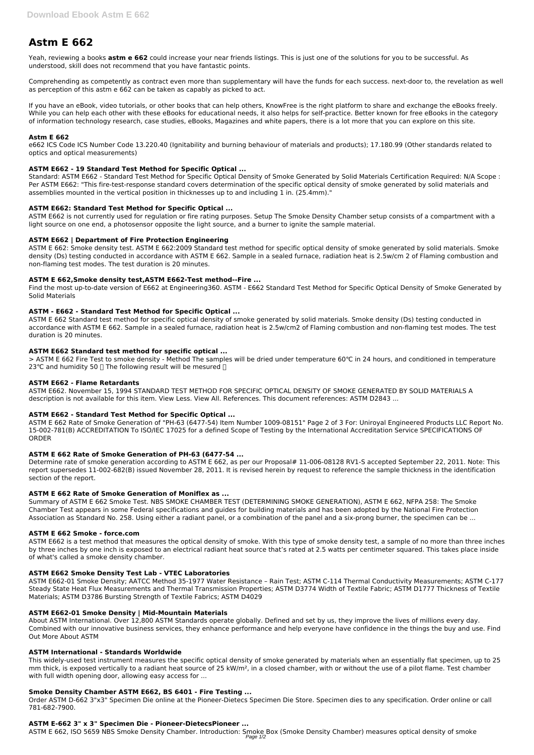# **Astm E 662**

Yeah, reviewing a books **astm e 662** could increase your near friends listings. This is just one of the solutions for you to be successful. As understood, skill does not recommend that you have fantastic points.

Comprehending as competently as contract even more than supplementary will have the funds for each success. next-door to, the revelation as well as perception of this astm e 662 can be taken as capably as picked to act.

If you have an eBook, video tutorials, or other books that can help others, KnowFree is the right platform to share and exchange the eBooks freely. While you can help each other with these eBooks for educational needs, it also helps for self-practice. Better known for free eBooks in the category of information technology research, case studies, eBooks, Magazines and white papers, there is a lot more that you can explore on this site.

#### **Astm E 662**

e662 ICS Code ICS Number Code 13.220.40 (Ignitability and burning behaviour of materials and products); 17.180.99 (Other standards related to optics and optical measurements)

# **ASTM E662 - 19 Standard Test Method for Specific Optical ...**

Standard: ASTM E662 - Standard Test Method for Specific Optical Density of Smoke Generated by Solid Materials Certification Required: N/A Scope : Per ASTM E662: "This fire-test-response standard covers determination of the specific optical density of smoke generated by solid materials and assemblies mounted in the vertical position in thicknesses up to and including 1 in. (25.4mm)."

> ASTM E 662 Fire Test to smoke density - Method The samples will be dried under temperature 60℃ in 24 hours, and conditioned in temperature 23 °C and humidity 50  $\Box$  The following result will be mesured  $\Box$ 

# **ASTM E662: Standard Test Method for Specific Optical ...**

ASTM E662 is not currently used for regulation or fire rating purposes. Setup The Smoke Density Chamber setup consists of a compartment with a light source on one end, a photosensor opposite the light source, and a burner to ignite the sample material.

# **ASTM E662 | Department of Fire Protection Engineering**

Determine rate of smoke generation according to ASTM E 662, as per our Proposal# 11-006-08128 RV1-S accepted September 22, 2011. Note: This report supersedes 11-002-682(B) issued November 28, 2011. It is revised herein by request to reference the sample thickness in the identification section of the report.

ASTM E 662: Smoke density test. ASTM E 662:2009 Standard test method for specific optical density of smoke generated by solid materials. Smoke density (Ds) testing conducted in accordance with ASTM E 662. Sample in a sealed furnace, radiation heat is 2.5w/cm 2 of Flaming combustion and non-flaming test modes. The test duration is 20 minutes.

# **ASTM E 662,Smoke density test,ASTM E662-Test method--Fire ...**

Find the most up-to-date version of E662 at Engineering360. ASTM - E662 Standard Test Method for Specific Optical Density of Smoke Generated by Solid Materials

#### **ASTM - E662 - Standard Test Method for Specific Optical ...**

ASTM E 662 Standard test method for specific optical density of smoke generated by solid materials. Smoke density (Ds) testing conducted in accordance with ASTM E 662. Sample in a sealed furnace, radiation heat is 2.5w/cm2 of Flaming combustion and non-flaming test modes. The test duration is 20 minutes.

#### **ASTM E662 Standard test method for specific optical ...**

#### **ASTM E662 - Flame Retardants**

ASTM E662. November 15, 1994 STANDARD TEST METHOD FOR SPECIFIC OPTICAL DENSITY OF SMOKE GENERATED BY SOLID MATERIALS A description is not available for this item. View Less. View All. References. This document references: ASTM D2843 ...

#### **ASTM E662 - Standard Test Method for Specific Optical ...**

ASTM E 662 Rate of Smoke Generation of "PH-63 (6477-54) Item Number 1009-08151" Page 2 of 3 For: Uniroyal Engineered Products LLC Report No. 15-002-781(B) ACCREDITATION To ISO/IEC 17025 for a defined Scope of Testing by the International Accreditation Service SPECIFICATIONS OF ORDER

#### **ASTM E 662 Rate of Smoke Generation of PH-63 (6477-54 ...**

#### **ASTM E 662 Rate of Smoke Generation of Moniflex as ...**

Summary of ASTM E 662 Smoke Test. NBS SMOKE CHAMBER TEST (DETERMINING SMOKE GENERATION), ASTM E 662, NFPA 258: The Smoke Chamber Test appears in some Federal specifications and guides for building materials and has been adopted by the National Fire Protection Association as Standard No. 258. Using either a radiant panel, or a combination of the panel and a six-prong burner, the specimen can be ...

#### **ASTM E 662 Smoke - force.com**

ASTM E662 is a test method that measures the optical density of smoke. With this type of smoke density test, a sample of no more than three inches by three inches by one inch is exposed to an electrical radiant heat source that's rated at 2.5 watts per centimeter squared. This takes place inside of what's called a smoke density chamber.

#### **ASTM E662 Smoke Density Test Lab - VTEC Laboratories**

ASTM E662-01 Smoke Density; AATCC Method 35-1977 Water Resistance – Rain Test; ASTM C-114 Thermal Conductivity Measurements; ASTM C-177 Steady State Heat Flux Measurements and Thermal Transmission Properties; ASTM D3774 Width of Textile Fabric; ASTM D1777 Thickness of Textile Materials; ASTM D3786 Bursting Strength of Textile Fabrics; ASTM D4029

#### **ASTM E662-01 Smoke Density | Mid-Mountain Materials**

About ASTM International. Over 12,800 ASTM Standards operate globally. Defined and set by us, they improve the lives of millions every day. Combined with our innovative business services, they enhance performance and help everyone have confidence in the things the buy and use. Find Out More About ASTM

#### **ASTM International - Standards Worldwide**

This widely-used test instrument measures the specific optical density of smoke generated by materials when an essentially flat specimen, up to 25 mm thick, is exposed vertically to a radiant heat source of 25 kW/m<sup>2</sup>, in a closed chamber, with or without the use of a pilot flame. Test chamber with full width opening door, allowing easy access for ...

#### **Smoke Density Chamber ASTM E662, BS 6401 - Fire Testing ...**

Order ASTM D-662 3"x3" Specimen Die online at the Pioneer-Dietecs Specimen Die Store. Specimen dies to any specification. Order online or call 781-682-7900.

#### **ASTM E-662 3" x 3" Specimen Die - Pioneer-DietecsPioneer ...**

ASTM E 662, ISO 5659 NBS Smoke Density Chamber. Introduction: Smoke Box (Smoke Density Chamber) measures optical density of smoke Page 1/2